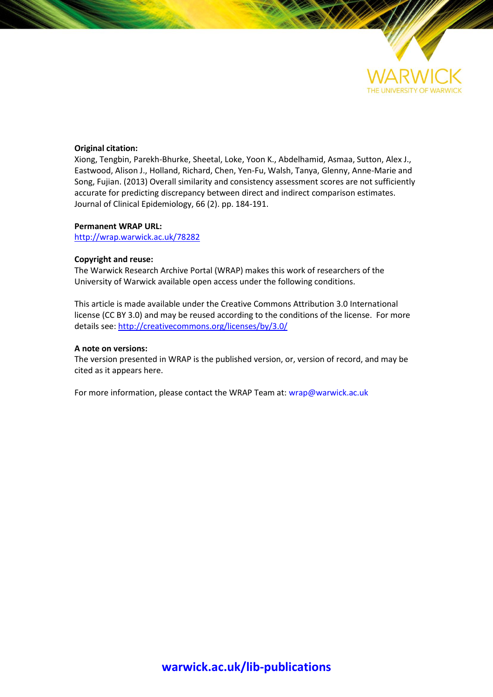

# **Original citation:**

Xiong, Tengbin, Parekh-Bhurke, Sheetal, Loke, Yoon K., Abdelhamid, Asmaa, Sutton, Alex J., Eastwood, Alison J., Holland, Richard, Chen, Yen-Fu, Walsh, Tanya, Glenny, Anne-Marie and Song, Fujian. (2013) Overall similarity and consistency assessment scores are not sufficiently accurate for predicting discrepancy between direct and indirect comparison estimates. Journal of Clinical Epidemiology, 66 (2). pp. 184-191.

# **Permanent WRAP URL:**

<http://wrap.warwick.ac.uk/78282>

# **Copyright and reuse:**

The Warwick Research Archive Portal (WRAP) makes this work of researchers of the University of Warwick available open access under the following conditions.

This article is made available under the Creative Commons Attribution 3.0 International license (CC BY 3.0) and may be reused according to the conditions of the license. For more details see[: http://creativecommons.org/licenses/by/3.0/](http://creativecommons.org/licenses/by/3.0/) 

# **A note on versions:**

The version presented in WRAP is the published version, or, version of record, and may be cited as it appears here.

For more information, please contact the WRAP Team at[: wrap@warwick.ac.uk](mailto:wrap@warwick.ac.uk)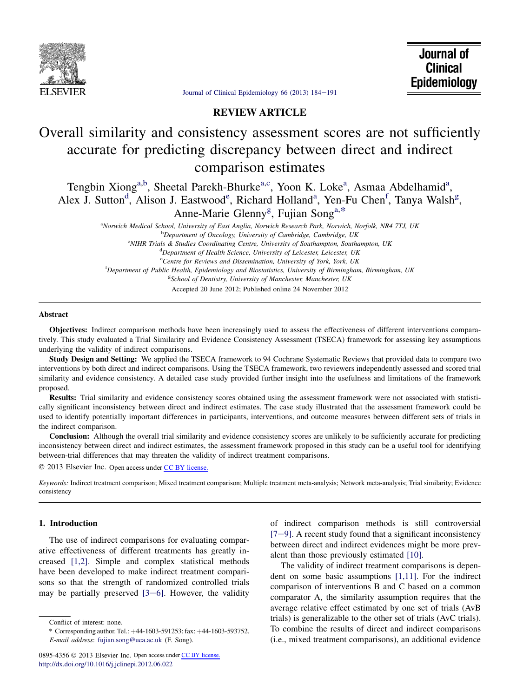

Journal of **Clinical** Epidemiology

[Journal of Clinical Epidemiology 66 \(2013\) 184](http://dx.doi.org/10.1016/j.jclinepi.2012.06.022)-191

# REVIEW ARTICLE

# Overall similarity and consistency assessment scores are not sufficiently accurate for predicting discrepancy between direct and indirect comparison estimates

Tengbin Xiong<sup>a,b</sup>, Sheetal Parekh-Bhurke<sup>a,c</sup>, Yoon K. Loke<sup>a</sup>, Asmaa Abdelhamid<sup>a</sup>, Alex J. Sutton<sup>d</sup>, Alison J. Eastwood<sup>e</sup>, Richard Holland<sup>a</sup>, Yen-Fu Chen<sup>f</sup>, Tanya Walsh<sup>g</sup>, Anne-Marie Glenny<sup>g</sup>, Fujian Song<sup>a,\*</sup>

> a Norwich Medical School, University of East Anglia, Norwich Research Park, Norwich, Norfolk, NR4 7TJ, UK <sup>b</sup>Department of Oncology, University of Cambridge, Cambridge, UK <sup>c</sup>NIHR Trials & Studies Coordinating Centre, University of Southampton, Southampton, UK

<sup>d</sup>Department of Health Science, University of Leicester, Leicester, UK <sup>e</sup> Centre for Reviews and Dissemination, University of York, York, UK

<sup>f</sup>Department of Public Health, Epidemiology and Biostatistics, University of Birmingham, Birmingham, UK

<sup>g</sup>School of Dentistry, University of Manchester, Manchester, UK

Accepted 20 June 2012; Published online 24 November 2012

### Abstract

Objectives: Indirect comparison methods have been increasingly used to assess the effectiveness of different interventions comparatively. This study evaluated a Trial Similarity and Evidence Consistency Assessment (TSECA) framework for assessing key assumptions underlying the validity of indirect comparisons.

Study Design and Setting: We applied the TSECA framework to 94 Cochrane Systematic Reviews that provided data to compare two interventions by both direct and indirect comparisons. Using the TSECA framework, two reviewers independently assessed and scored trial similarity and evidence consistency. A detailed case study provided further insight into the usefulness and limitations of the framework proposed.

Results: Trial similarity and evidence consistency scores obtained using the assessment framework were not associated with statistically significant inconsistency between direct and indirect estimates. The case study illustrated that the assessment framework could be used to identify potentially important differences in participants, interventions, and outcome measures between different sets of trials in the indirect comparison.

Conclusion: Although the overall trial similarity and evidence consistency scores are unlikely to be sufficiently accurate for predicting inconsistency between direct and indirect estimates, the assessment framework proposed in this study can be a useful tool for identifying between-trial differences that may threaten the validity of indirect treatment comparisons.

2013 Elsevier Inc. Open access under [CC BY license.](http://creativecommons.org/licenses/by/3.0/)

Keywords: Indirect treatment comparison; Mixed treatment comparison; Multiple treatment meta-analysis; Network meta-analysis; Trial similarity; Evidence consistency

# 1. Introduction

The use of indirect comparisons for evaluating comparative effectiveness of different treatments has greatly increased [\[1,2\].](#page-7-0) Simple and complex statistical methods have been developed to make indirect treatment comparisons so that the strength of randomized controlled trials may be partially preserved  $[3-6]$ . However, the validity

Conflict of interest: none.

of indirect comparison methods is still controversial  $[7-9]$  $[7-9]$ . A recent study found that a significant inconsistency between direct and indirect evidences might be more prevalent than those previously estimated [\[10\].](#page-7-0)

The validity of indirect treatment comparisons is dependent on some basic assumptions [\[1,11\].](#page-7-0) For the indirect comparison of interventions B and C based on a common comparator A, the similarity assumption requires that the average relative effect estimated by one set of trials (AvB trials) is generalizable to the other set of trials (AvC trials). To combine the results of direct and indirect comparisons (i.e., mixed treatment comparisons), an additional evidence

<sup>\*</sup> Corresponding author. Tel.:  $+44-1603-591253$ ; fax:  $+44-1603-593752$ . E-mail address: [fujian.song@uea.ac.uk](mailto:fujian.song@uea.ac.uk) (F. Song).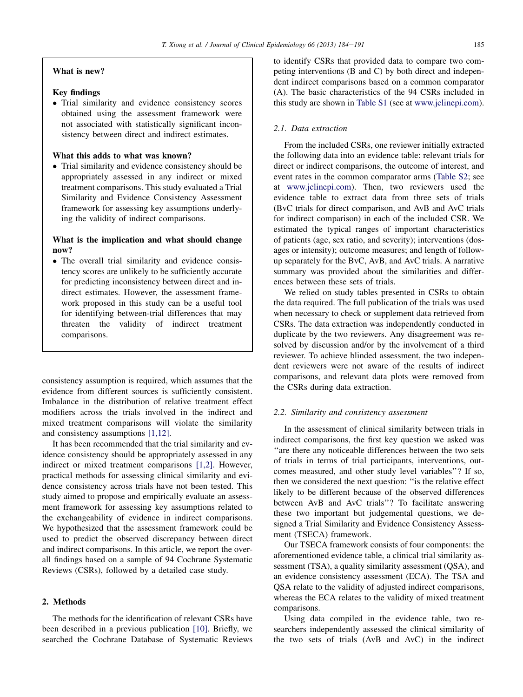# What is new?

# Key findings

- Trial similarity and evidence consistency scores obtained using the assessment framework were not associated with statistically significant inconsistency between direct and indirect estimates.

## What this adds to what was known?

- Trial similarity and evidence consistency should be appropriately assessed in any indirect or mixed treatment comparisons. This study evaluated a Trial Similarity and Evidence Consistency Assessment framework for assessing key assumptions underlying the validity of indirect comparisons.

# What is the implication and what should change now?

- The overall trial similarity and evidence consistency scores are unlikely to be sufficiently accurate for predicting inconsistency between direct and indirect estimates. However, the assessment framework proposed in this study can be a useful tool for identifying between-trial differences that may threaten the validity of indirect treatment comparisons.

consistency assumption is required, which assumes that the evidence from different sources is sufficiently consistent. Imbalance in the distribution of relative treatment effect modifiers across the trials involved in the indirect and mixed treatment comparisons will violate the similarity and consistency assumptions [\[1,12\]](#page-7-0).

It has been recommended that the trial similarity and evidence consistency should be appropriately assessed in any indirect or mixed treatment comparisons [\[1,2\].](#page-7-0) However, practical methods for assessing clinical similarity and evidence consistency across trials have not been tested. This study aimed to propose and empirically evaluate an assessment framework for assessing key assumptions related to the exchangeability of evidence in indirect comparisons. We hypothesized that the assessment framework could be used to predict the observed discrepancy between direct and indirect comparisons. In this article, we report the overall findings based on a sample of 94 Cochrane Systematic Reviews (CSRs), followed by a detailed case study.

## 2. Methods

The methods for the identification of relevant CSRs have been described in a previous publication [\[10\].](#page-7-0) Briefly, we searched the Cochrane Database of Systematic Reviews to identify CSRs that provided data to compare two competing interventions (B and C) by both direct and independent indirect comparisons based on a common comparator (A). The basic characteristics of the 94 CSRs included in this study are shown in Table S1 (see at [www.jclinepi.com](http://www.jclinepi.com)).

# 2.1. Data extraction

From the included CSRs, one reviewer initially extracted the following data into an evidence table: relevant trials for direct or indirect comparisons, the outcome of interest, and event rates in the common comparator arms (Table S2; see at [www.jclinepi.com\)](http://www.jclinepi.com). Then, two reviewers used the evidence table to extract data from three sets of trials (BvC trials for direct comparison, and AvB and AvC trials for indirect comparison) in each of the included CSR. We estimated the typical ranges of important characteristics of patients (age, sex ratio, and severity); interventions (dosages or intensity); outcome measures; and length of followup separately for the BvC, AvB, and AvC trials. A narrative summary was provided about the similarities and differences between these sets of trials.

We relied on study tables presented in CSRs to obtain the data required. The full publication of the trials was used when necessary to check or supplement data retrieved from CSRs. The data extraction was independently conducted in duplicate by the two reviewers. Any disagreement was resolved by discussion and/or by the involvement of a third reviewer. To achieve blinded assessment, the two independent reviewers were not aware of the results of indirect comparisons, and relevant data plots were removed from the CSRs during data extraction.

### 2.2. Similarity and consistency assessment

In the assessment of clinical similarity between trials in indirect comparisons, the first key question we asked was ''are there any noticeable differences between the two sets of trials in terms of trial participants, interventions, outcomes measured, and other study level variables''? If so, then we considered the next question: ''is the relative effect likely to be different because of the observed differences between AvB and AvC trials''? To facilitate answering these two important but judgemental questions, we designed a Trial Similarity and Evidence Consistency Assessment (TSECA) framework.

Our TSECA framework consists of four components: the aforementioned evidence table, a clinical trial similarity assessment (TSA), a quality similarity assessment (QSA), and an evidence consistency assessment (ECA). The TSA and QSA relate to the validity of adjusted indirect comparisons, whereas the ECA relates to the validity of mixed treatment comparisons.

Using data compiled in the evidence table, two researchers independently assessed the clinical similarity of the two sets of trials (AvB and AvC) in the indirect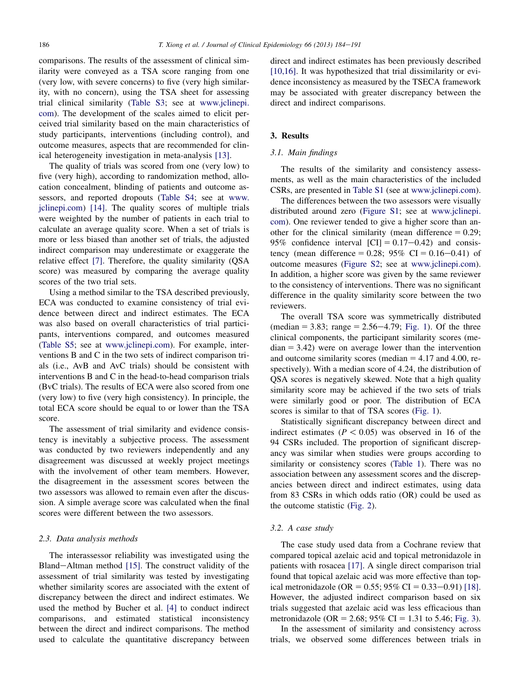comparisons. The results of the assessment of clinical similarity were conveyed as a TSA score ranging from one (very low, with severe concerns) to five (very high similarity, with no concern), using the TSA sheet for assessing trial clinical similarity (Table S3; see at [www.jclinepi.](http://www.jclinepi.com) [com](http://www.jclinepi.com)). The development of the scales aimed to elicit perceived trial similarity based on the main characteristics of study participants, interventions (including control), and outcome measures, aspects that are recommended for clinical heterogeneity investigation in meta-analysis [\[13\].](#page-7-0)

The quality of trials was scored from one (very low) to five (very high), according to randomization method, allocation concealment, blinding of patients and outcome assessors, and reported dropouts (Table S4; see at [www.](http://www.jclinepi.com) [jclinepi.com](http://www.jclinepi.com)) [\[14\]](#page-8-0). The quality scores of multiple trials were weighted by the number of patients in each trial to calculate an average quality score. When a set of trials is more or less biased than another set of trials, the adjusted indirect comparison may underestimate or exaggerate the relative effect [\[7\]](#page-7-0). Therefore, the quality similarity (QSA score) was measured by comparing the average quality scores of the two trial sets.

Using a method similar to the TSA described previously, ECA was conducted to examine consistency of trial evidence between direct and indirect estimates. The ECA was also based on overall characteristics of trial participants, interventions compared, and outcomes measured (Table S5; see at [www.jclinepi.com](http://www.jclinepi.com)). For example, interventions B and C in the two sets of indirect comparison trials (i.e., AvB and AvC trials) should be consistent with interventions B and C in the head-to-head comparison trials (BvC trials). The results of ECA were also scored from one (very low) to five (very high consistency). In principle, the total ECA score should be equal to or lower than the TSA score.

The assessment of trial similarity and evidence consistency is inevitably a subjective process. The assessment was conducted by two reviewers independently and any disagreement was discussed at weekly project meetings with the involvement of other team members. However, the disagreement in the assessment scores between the two assessors was allowed to remain even after the discussion. A simple average score was calculated when the final scores were different between the two assessors.

## 2.3. Data analysis methods

The interassessor reliability was investigated using the Bland-Altman method  $[15]$ . The construct validity of the assessment of trial similarity was tested by investigating whether similarity scores are associated with the extent of discrepancy between the direct and indirect estimates. We used the method by Bucher et al. [\[4\]](#page-7-0) to conduct indirect comparisons, and estimated statistical inconsistency between the direct and indirect comparisons. The method used to calculate the quantitative discrepancy between

direct and indirect estimates has been previously described [\[10,16\]](#page-7-0). It was hypothesized that trial dissimilarity or evidence inconsistency as measured by the TSECA framework may be associated with greater discrepancy between the direct and indirect comparisons.

# 3. Results

## 3.1. Main findings

The results of the similarity and consistency assessments, as well as the main characteristics of the included CSRs, are presented in Table S1 (see at [www.jclinepi.com](http://www.jclinepi.com)).

The differences between the two assessors were visually distributed around zero (Figure S1; see at [www.jclinepi.](http://www.jclinepi.com) [com](http://www.jclinepi.com)). One reviewer tended to give a higher score than another for the clinical similarity (mean difference  $= 0.29$ ; 95% confidence interval  $\text{[CI]} = 0.17-0.42$  and consistency (mean difference = 0.28; 95% CI = 0.16–0.41) of outcome measures (Figure S2; see at [www.jclinepi.com](http://www.jclinepi.com)). In addition, a higher score was given by the same reviewer to the consistency of interventions. There was no significant difference in the quality similarity score between the two reviewers.

The overall TSA score was symmetrically distributed (median  $= 3.83$ ; range  $= 2.56 - 4.79$ ; [Fig. 1](#page-4-0)). Of the three clinical components, the participant similarity scores (me $dian = 3.42$ ) were on average lower than the intervention and outcome similarity scores (median  $= 4.17$  and 4.00, respectively). With a median score of 4.24, the distribution of QSA scores is negatively skewed. Note that a high quality similarity score may be achieved if the two sets of trials were similarly good or poor. The distribution of ECA scores is similar to that of TSA scores [\(Fig. 1\)](#page-4-0).

Statistically significant discrepancy between direct and indirect estimates ( $P < 0.05$ ) was observed in 16 of the 94 CSRs included. The proportion of significant discrepancy was similar when studies were groups according to similarity or consistency scores ([Table 1](#page-4-0)). There was no association between any assessment scores and the discrepancies between direct and indirect estimates, using data from 83 CSRs in which odds ratio (OR) could be used as the outcome statistic ([Fig. 2](#page-5-0)).

# 3.2. A case study

The case study used data from a Cochrane review that compared topical azelaic acid and topical metronidazole in patients with rosacea [\[17\].](#page-8-0) A single direct comparison trial found that topical azelaic acid was more effective than topical metronidazole (OR =  $0.55$ ; 95% CI =  $0.33-0.91$ ) [\[18\].](#page-8-0) However, the adjusted indirect comparison based on six trials suggested that azelaic acid was less efficacious than metronidazole (OR = 2.68; 95% CI = 1.31 to 5.46; [Fig. 3](#page-5-0)).

In the assessment of similarity and consistency across trials, we observed some differences between trials in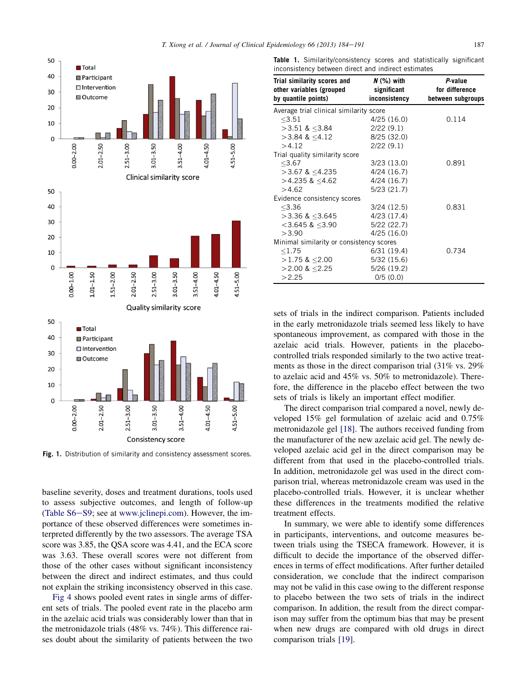<span id="page-4-0"></span>

Fig. 1. Distribution of similarity and consistency assessment scores.

baseline severity, doses and treatment durations, tools used to assess subjective outcomes, and length of follow-up (Table S6-S9; see at [www.jclinepi.com\)](http://www.jclinepi.com). However, the importance of these observed differences were sometimes interpreted differently by the two assessors. The average TSA score was 3.85, the QSA score was 4.41, and the ECA score was 3.63. These overall scores were not different from those of the other cases without significant inconsistency between the direct and indirect estimates, and thus could not explain the striking inconsistency observed in this case.

[Fig 4](#page-5-0) shows pooled event rates in single arms of different sets of trials. The pooled event rate in the placebo arm in the azelaic acid trials was considerably lower than that in the metronidazole trials (48% vs. 74%). This difference raises doubt about the similarity of patients between the two

**Table 1.** Similarity/consistency scores and statistically significant inconsistency between direct and indirect estimates

| Trial similarity scores and<br>other variables (grouped<br>by quantile points) | $N$ (%) with<br>significant<br>inconsistency | P-value<br>for difference<br>between subgroups |
|--------------------------------------------------------------------------------|----------------------------------------------|------------------------------------------------|
| Average trial clinical similarity score                                        |                                              |                                                |
| < 3.51                                                                         | 4/25(16.0)                                   | 0.114                                          |
| $>3.51$ & <3.84                                                                | 2/22(9.1)                                    |                                                |
| $>3.84$ & $<4.12$                                                              | 8/25 (32.0)                                  |                                                |
| >4.12                                                                          | 2/22(9.1)                                    |                                                |
| Trial quality similarity score                                                 |                                              |                                                |
| < 3.67                                                                         | 3/23(13.0)                                   | 0.891                                          |
| $>3.67$ & $<$ 4.235                                                            | 4/24(16.7)                                   |                                                |
| $>4.235$ & <4.62                                                               | 4/24(16.7)                                   |                                                |
| >4.62                                                                          | 5/23(21.7)                                   |                                                |
| Evidence consistency scores                                                    |                                              |                                                |
| < 3.36                                                                         | 3/24(12.5)                                   | 0.831                                          |
| $>$ 3.36 & $<$ 3.645                                                           | 4/23(17.4)                                   |                                                |
| $<$ 3.645 & $<$ 3.90                                                           | 5/22(22.7)                                   |                                                |
| >3.90                                                                          | 4/25(16.0)                                   |                                                |
| Minimal similarity or consistency scores                                       |                                              |                                                |
| < 1.75                                                                         | 6/31 (19.4)                                  | 0.734                                          |
| $>1.75$ & <2.00                                                                | 5/32(15.6)                                   |                                                |
| $>$ 2.00 & $<$ 2.25                                                            | 5/26(19.2)                                   |                                                |
| >2.25                                                                          | 0/5(0.0)                                     |                                                |

sets of trials in the indirect comparison. Patients included in the early metronidazole trials seemed less likely to have spontaneous improvement, as compared with those in the azelaic acid trials. However, patients in the placebocontrolled trials responded similarly to the two active treatments as those in the direct comparison trial (31% vs. 29% to azelaic acid and 45% vs. 50% to metronidazole). Therefore, the difference in the placebo effect between the two sets of trials is likely an important effect modifier.

The direct comparison trial compared a novel, newly developed 15% gel formulation of azelaic acid and 0.75% metronidazole gel [\[18\]](#page-8-0). The authors received funding from the manufacturer of the new azelaic acid gel. The newly developed azelaic acid gel in the direct comparison may be different from that used in the placebo-controlled trials. In addition, metronidazole gel was used in the direct comparison trial, whereas metronidazole cream was used in the placebo-controlled trials. However, it is unclear whether these differences in the treatments modified the relative treatment effects.

In summary, we were able to identify some differences in participants, interventions, and outcome measures between trials using the TSECA framework. However, it is difficult to decide the importance of the observed differences in terms of effect modifications. After further detailed consideration, we conclude that the indirect comparison may not be valid in this case owing to the different response to placebo between the two sets of trials in the indirect comparison. In addition, the result from the direct comparison may suffer from the optimum bias that may be present when new drugs are compared with old drugs in direct comparison trials [\[19\].](#page-8-0)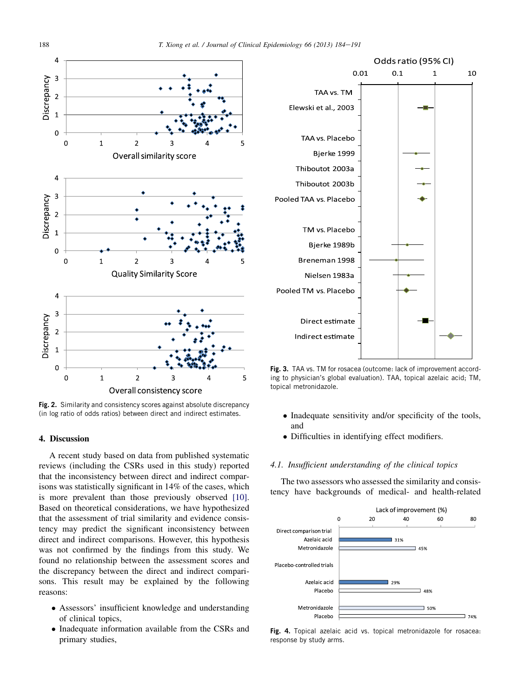<span id="page-5-0"></span>

**Fig. 2.** Similarity and consistency scores against absolute discrepancy (in log ratio of odds ratios) between direct and indirect estimates.

#### 4. Discussion

A recent study based on data from published systematic reviews (including the CSRs used in this study) reported that the inconsistency between direct and indirect comparisons was statistically significant in 14% of the cases, which is more prevalent than those previously observed [\[10\].](#page-7-0) Based on theoretical considerations, we have hypothesized that the assessment of trial similarity and evidence consistency may predict the significant inconsistency between direct and indirect comparisons. However, this hypothesis was not confirmed by the findings from this study. We found no relationship between the assessment scores and the discrepancy between the direct and indirect comparisons. This result may be explained by the following reasons:

- Assessors' insufficient knowledge and understanding of clinical topics,
- Inadequate information available from the CSRs and primary studies,



**Fig. 3.** TAA vs. TM for rosacea (outcome: lack of improvement according to physician's global evaluation). TAA, topical azelaic acid; TM, topical metronidazole.

- Inadequate sensitivity and/or specificity of the tools, and
- Difficulties in identifying effect modifiers.

# 4.1. Insufficient understanding of the clinical topics

The two assessors who assessed the similarity and consistency have backgrounds of medical- and health-related



**Fig. 4.** Topical azelaic acid vs. topical metronidazole for rosacea: response by study arms.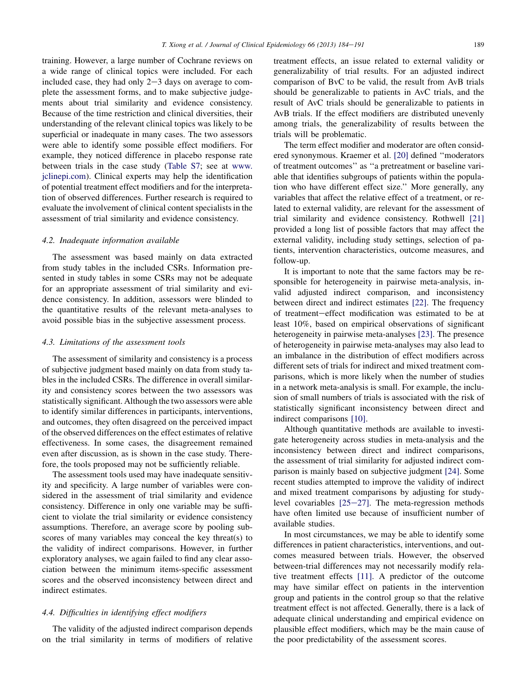training. However, a large number of Cochrane reviews on a wide range of clinical topics were included. For each included case, they had only  $2-3$  days on average to complete the assessment forms, and to make subjective judgements about trial similarity and evidence consistency. Because of the time restriction and clinical diversities, their understanding of the relevant clinical topics was likely to be superficial or inadequate in many cases. The two assessors were able to identify some possible effect modifiers. For example, they noticed difference in placebo response rate between trials in the case study (Table S7; see at [www.](http://www.jclinepi.com) [jclinepi.com\)](http://www.jclinepi.com). Clinical experts may help the identification of potential treatment effect modifiers and for the interpretation of observed differences. Further research is required to evaluate the involvement of clinical content specialists in the assessment of trial similarity and evidence consistency.

#### 4.2. Inadequate information available

The assessment was based mainly on data extracted from study tables in the included CSRs. Information presented in study tables in some CSRs may not be adequate for an appropriate assessment of trial similarity and evidence consistency. In addition, assessors were blinded to the quantitative results of the relevant meta-analyses to avoid possible bias in the subjective assessment process.

## 4.3. Limitations of the assessment tools

The assessment of similarity and consistency is a process of subjective judgment based mainly on data from study tables in the included CSRs. The difference in overall similarity and consistency scores between the two assessors was statistically significant. Although the two assessors were able to identify similar differences in participants, interventions, and outcomes, they often disagreed on the perceived impact of the observed differences on the effect estimates of relative effectiveness. In some cases, the disagreement remained even after discussion, as is shown in the case study. Therefore, the tools proposed may not be sufficiently reliable.

The assessment tools used may have inadequate sensitivity and specificity. A large number of variables were considered in the assessment of trial similarity and evidence consistency. Difference in only one variable may be sufficient to violate the trial similarity or evidence consistency assumptions. Therefore, an average score by pooling subscores of many variables may conceal the key threat(s) to the validity of indirect comparisons. However, in further exploratory analyses, we again failed to find any clear association between the minimum items-specific assessment scores and the observed inconsistency between direct and indirect estimates.

#### 4.4. Difficulties in identifying effect modifiers

The validity of the adjusted indirect comparison depends on the trial similarity in terms of modifiers of relative treatment effects, an issue related to external validity or generalizability of trial results. For an adjusted indirect comparison of BvC to be valid, the result from AvB trials should be generalizable to patients in AvC trials, and the result of AvC trials should be generalizable to patients in AvB trials. If the effect modifiers are distributed unevenly among trials, the generalizability of results between the trials will be problematic.

The term effect modifier and moderator are often considered synonymous. Kraemer et al. [\[20\]](#page-8-0) defined ''moderators of treatment outcomes'' as ''a pretreatment or baseline variable that identifies subgroups of patients within the population who have different effect size.'' More generally, any variables that affect the relative effect of a treatment, or related to external validity, are relevant for the assessment of trial similarity and evidence consistency. Rothwell [\[21\]](#page-8-0) provided a long list of possible factors that may affect the external validity, including study settings, selection of patients, intervention characteristics, outcome measures, and follow-up.

It is important to note that the same factors may be responsible for heterogeneity in pairwise meta-analysis, invalid adjusted indirect comparison, and inconsistency between direct and indirect estimates [\[22\].](#page-8-0) The frequency of treatment-effect modification was estimated to be at least 10%, based on empirical observations of significant heterogeneity in pairwise meta-analyses [\[23\]](#page-8-0). The presence of heterogeneity in pairwise meta-analyses may also lead to an imbalance in the distribution of effect modifiers across different sets of trials for indirect and mixed treatment comparisons, which is more likely when the number of studies in a network meta-analysis is small. For example, the inclusion of small numbers of trials is associated with the risk of statistically significant inconsistency between direct and indirect comparisons [\[10\]](#page-7-0).

Although quantitative methods are available to investigate heterogeneity across studies in meta-analysis and the inconsistency between direct and indirect comparisons, the assessment of trial similarity for adjusted indirect comparison is mainly based on subjective judgment [\[24\].](#page-8-0) Some recent studies attempted to improve the validity of indirect and mixed treatment comparisons by adjusting for studylevel covariables  $[25-27]$  $[25-27]$ . The meta-regression methods have often limited use because of insufficient number of available studies.

In most circumstances, we may be able to identify some differences in patient characteristics, interventions, and outcomes measured between trials. However, the observed between-trial differences may not necessarily modify relative treatment effects [\[11\].](#page-7-0) A predictor of the outcome may have similar effect on patients in the intervention group and patients in the control group so that the relative treatment effect is not affected. Generally, there is a lack of adequate clinical understanding and empirical evidence on plausible effect modifiers, which may be the main cause of the poor predictability of the assessment scores.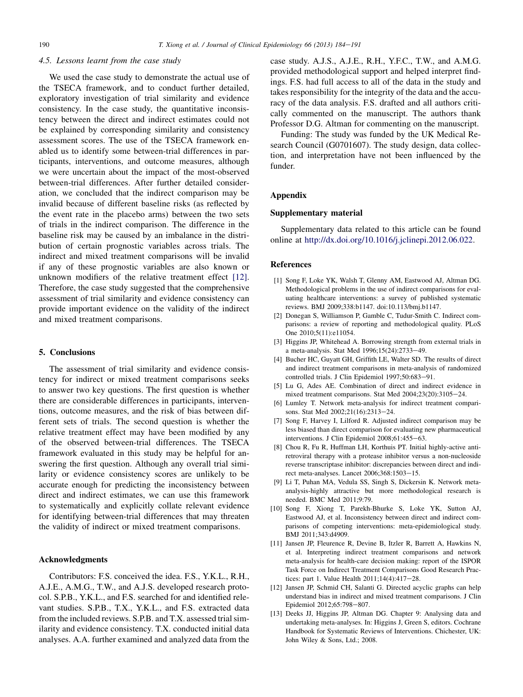#### <span id="page-7-0"></span>4.5. Lessons learnt from the case study

We used the case study to demonstrate the actual use of the TSECA framework, and to conduct further detailed, exploratory investigation of trial similarity and evidence consistency. In the case study, the quantitative inconsistency between the direct and indirect estimates could not be explained by corresponding similarity and consistency assessment scores. The use of the TSECA framework enabled us to identify some between-trial differences in participants, interventions, and outcome measures, although we were uncertain about the impact of the most-observed between-trial differences. After further detailed consideration, we concluded that the indirect comparison may be invalid because of different baseline risks (as reflected by the event rate in the placebo arms) between the two sets of trials in the indirect comparison. The difference in the baseline risk may be caused by an imbalance in the distribution of certain prognostic variables across trials. The indirect and mixed treatment comparisons will be invalid if any of these prognostic variables are also known or unknown modifiers of the relative treatment effect [12]. Therefore, the case study suggested that the comprehensive assessment of trial similarity and evidence consistency can provide important evidence on the validity of the indirect and mixed treatment comparisons.

## 5. Conclusions

The assessment of trial similarity and evidence consistency for indirect or mixed treatment comparisons seeks to answer two key questions. The first question is whether there are considerable differences in participants, interventions, outcome measures, and the risk of bias between different sets of trials. The second question is whether the relative treatment effect may have been modified by any of the observed between-trial differences. The TSECA framework evaluated in this study may be helpful for answering the first question. Although any overall trial similarity or evidence consistency scores are unlikely to be accurate enough for predicting the inconsistency between direct and indirect estimates, we can use this framework to systematically and explicitly collate relevant evidence for identifying between-trial differences that may threaten the validity of indirect or mixed treatment comparisons.

#### Acknowledgments

Contributors: F.S. conceived the idea. F.S., Y.K.L., R.H., A.J.E., A.M.G., T.W., and A.J.S. developed research protocol. S.P.B., Y.K.L., and F.S. searched for and identified relevant studies. S.P.B., T.X., Y.K.L., and F.S. extracted data from the included reviews. S.P.B. and T.X. assessed trial similarity and evidence consistency. T.X. conducted initial data analyses. A.A. further examined and analyzed data from the

case study. A.J.S., A.J.E., R.H., Y.F.C., T.W., and A.M.G. provided methodological support and helped interpret findings. F.S. had full access to all of the data in the study and takes responsibility for the integrity of the data and the accuracy of the data analysis. F.S. drafted and all authors critically commented on the manuscript. The authors thank Professor D.G. Altman for commenting on the manuscript.

Funding: The study was funded by the UK Medical Research Council (G0701607). The study design, data collection, and interpretation have not been influenced by the funder.

# Appendix

# Supplementary material

Supplementary data related to this article can be found online at [http://dx.doi.org/10.1016/j.jclinepi.2012.06.022.](http://dx.doi.org/10.1016/j.jclinepi.2012.06.022)

#### References

- [1] Song F, Loke YK, Walsh T, Glenny AM, Eastwood AJ, Altman DG. Methodological problems in the use of indirect comparisons for evaluating healthcare interventions: a survey of published systematic reviews. BMJ 2009;338:b1147. doi:10.113/bmj.b1147.
- [2] Donegan S, Williamson P, Gamble C, Tudur-Smith C. Indirect comparisons: a review of reporting and methodological quality. PLoS One 2010;5(11):e11054.
- [3] Higgins JP, Whitehead A. Borrowing strength from external trials in a meta-analysis. Stat Med 1996;15(24):2733-49.
- [4] Bucher HC, Guyatt GH, Griffith LE, Walter SD. The results of direct and indirect treatment comparisons in meta-analysis of randomized controlled trials. J Clin Epidemiol 1997;50:683-91.
- [5] Lu G, Ades AE. Combination of direct and indirect evidence in mixed treatment comparisons. Stat Med 2004;23(20):3105-24.
- [6] Lumley T. Network meta-analysis for indirect treatment comparisons. Stat Med 2002;21(16):2313-24.
- [7] Song F, Harvey I, Lilford R. Adjusted indirect comparison may be less biased than direct comparison for evaluating new pharmaceutical interventions. J Clin Epidemiol 2008;61:455-63.
- [8] Chou R, Fu R, Huffman LH, Korthuis PT. Initial highly-active antiretroviral therapy with a protease inhibitor versus a non-nucleoside reverse transcriptase inhibitor: discrepancies between direct and indirect meta-analyses. Lancet 2006;368:1503-15.
- [9] Li T, Puhan MA, Vedula SS, Singh S, Dickersin K. Network metaanalysis-highly attractive but more methodological research is needed. BMC Med 2011;9:79.
- [10] Song F, Xiong T, Parekh-Bhurke S, Loke YK, Sutton AJ, Eastwood AJ, et al. Inconsistency between direct and indirect comparisons of competing interventions: meta-epidemiological study. BMJ 2011;343:d4909.
- [11] Jansen JP, Fleurence R, Devine B, Itzler R, Barrett A, Hawkins N, et al. Interpreting indirect treatment comparisons and network meta-analysis for health-care decision making: report of the ISPOR Task Force on Indirect Treatment Comparisons Good Research Practices: part 1. Value Health  $2011;14(4):417-28$ .
- [12] Jansen JP, Schmid CH, Salanti G. Directed acyclic graphs can help understand bias in indirect and mixed treatment comparisons. J Clin Epidemiol 2012;65:798-807.
- [13] Deeks JJ, Higgins JP, Altman DG. Chapter 9: Analysing data and undertaking meta-analyses. In: Higgins J, Green S, editors. Cochrane Handbook for Systematic Reviews of Interventions. Chichester, UK: John Wiley & Sons, Ltd.; 2008.